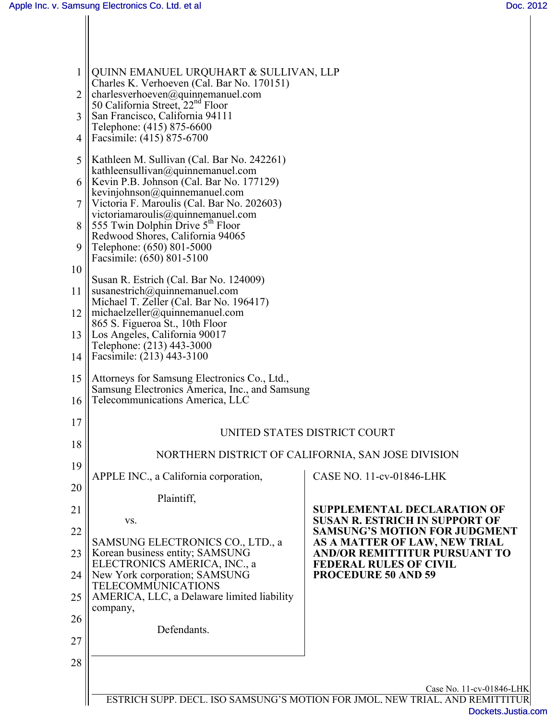| 1 <sup>1</sup>  | QUINN EMANUEL URQUHART & SULLIVAN, LLP                                                                                              |                                                                                                                                |
|-----------------|-------------------------------------------------------------------------------------------------------------------------------------|--------------------------------------------------------------------------------------------------------------------------------|
| $\overline{2}$  | Charles K. Verhoeven (Cal. Bar No. 170151)<br>$ $ charlesverhoeven@quinnemanuel.com<br>50 California Street, 22 <sup>nd</sup> Floor |                                                                                                                                |
| 3               | San Francisco, California 94111                                                                                                     |                                                                                                                                |
| 4               | Telephone: (415) 875-6600<br>Facsimile: (415) 875-6700                                                                              |                                                                                                                                |
| 5               | Kathleen M. Sullivan (Cal. Bar No. 242261)<br>kathleensullivan@quinnemanuel.com                                                     |                                                                                                                                |
|                 | 6    Kevin P.B. Johnson (Cal. Bar No. 177129)<br>kevinjohnson@quinnemanuel.com                                                      |                                                                                                                                |
|                 | Victoria F. Maroulis (Cal. Bar No. 202603)<br>victoriamaroulis@quinnemanuel.com                                                     |                                                                                                                                |
| 8               | 555 Twin Dolphin Drive 5 <sup>th</sup> Floor<br>Redwood Shores, California 94065                                                    |                                                                                                                                |
| 9               | Telephone: (650) 801-5000<br>Facsimile: (650) 801-5100                                                                              |                                                                                                                                |
| 10              | Susan R. Estrich (Cal. Bar No. 124009)                                                                                              |                                                                                                                                |
| 11 <sup>1</sup> | susanestrich@quinnemanuel.com<br>Michael T. Zeller (Cal. Bar No. 196417)                                                            |                                                                                                                                |
|                 | 12    michaelzeller@quinnemanuel.com<br>865 S. Figueroa St., 10th Floor                                                             |                                                                                                                                |
|                 | 13    Los Angeles, California 90017<br>Telephone: (213) 443-3000                                                                    |                                                                                                                                |
| 14              | Facsimile: (213) 443-3100                                                                                                           |                                                                                                                                |
| 15<br>16        | Attorneys for Samsung Electronics Co., Ltd.,<br>Samsung Electronics America, Inc., and Samsung<br>Telecommunications America, LLC   |                                                                                                                                |
| 17              | UNITED STATES DISTRICT COURT                                                                                                        |                                                                                                                                |
| 18              | NORTHERN DISTRICT OF CALIFORNIA, SAN JOSE DIVISION                                                                                  |                                                                                                                                |
| 19              | APPLE INC., a California corporation,                                                                                               | CASE NO. 11-cv-01846-LHK                                                                                                       |
| 20              | Plaintiff,                                                                                                                          |                                                                                                                                |
| 21              | VS.                                                                                                                                 | <b>SUPPLEMENTAL DECLARATION OF</b><br><b>SUSAN R. ESTRICH IN SUPPORT OF</b>                                                    |
| 22<br>23        | SAMSUNG ELECTRONICS CO., LTD., a<br>Korean business entity; SAMSUNG                                                                 | <b>SAMSUNG'S MOTION FOR JUDGMENT</b><br>AS A MATTER OF LAW, NEW TRIAL<br><b>AND/OR REMITTITUR PURSUANT TO</b>                  |
| 24              | ELECTRONICS AMERICA, INC., a<br>New York corporation; SAMSUNG                                                                       | <b>FEDERAL RULES OF CIVIL</b><br><b>PROCEDURE 50 AND 59</b>                                                                    |
| 25              | <b>TELECOMMUNICATIONS</b><br>AMERICA, LLC, a Delaware limited liability                                                             |                                                                                                                                |
| 26              | company,                                                                                                                            |                                                                                                                                |
| 27              | Defendants.                                                                                                                         |                                                                                                                                |
| 28              |                                                                                                                                     |                                                                                                                                |
|                 |                                                                                                                                     |                                                                                                                                |
|                 |                                                                                                                                     | Case No. 11-cv-01846-LHK<br>ESTRICH SUPP. DECL. ISO SAMSUNG'S MOTION FOR JMOL. NEW TRIAL. AND REMITTITUR<br>Dockets.Justia.com |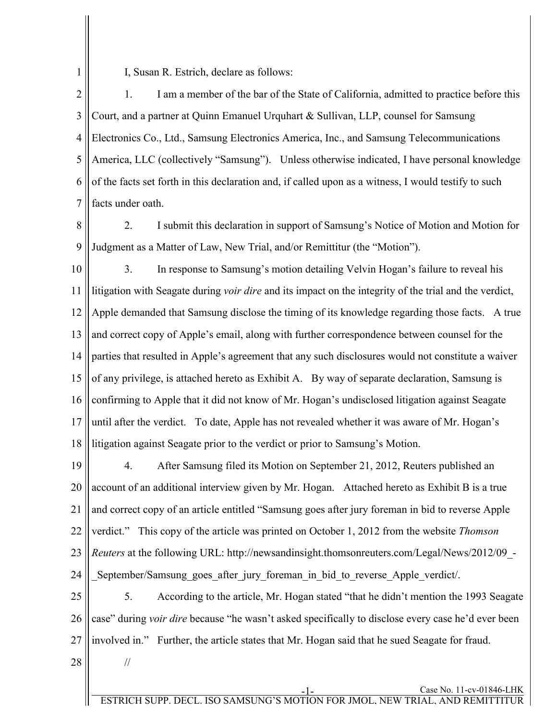1

I, Susan R. Estrich, declare as follows:

2 3 4 5 6 7 1. I am a member of the bar of the State of California, admitted to practice before this Court, and a partner at Quinn Emanuel Urquhart & Sullivan, LLP, counsel for Samsung Electronics Co., Ltd., Samsung Electronics America, Inc., and Samsung Telecommunications America, LLC (collectively "Samsung"). Unless otherwise indicated, I have personal knowledge of the facts set forth in this declaration and, if called upon as a witness, I would testify to such facts under oath.

8 9 2. I submit this declaration in support of Samsung's Notice of Motion and Motion for Judgment as a Matter of Law, New Trial, and/or Remittitur (the "Motion").

10 11 12 13 14 15 16 17 18 3. In response to Samsung's motion detailing Velvin Hogan's failure to reveal his litigation with Seagate during *voir dire* and its impact on the integrity of the trial and the verdict, Apple demanded that Samsung disclose the timing of its knowledge regarding those facts. A true and correct copy of Apple's email, along with further correspondence between counsel for the parties that resulted in Apple's agreement that any such disclosures would not constitute a waiver of any privilege, is attached hereto as Exhibit A. By way of separate declaration, Samsung is confirming to Apple that it did not know of Mr. Hogan's undisclosed litigation against Seagate until after the verdict. To date, Apple has not revealed whether it was aware of Mr. Hogan's litigation against Seagate prior to the verdict or prior to Samsung's Motion.

19 20 21 22 23 24 4. After Samsung filed its Motion on September 21, 2012, Reuters published an account of an additional interview given by Mr. Hogan. Attached hereto as Exhibit B is a true and correct copy of an article entitled "Samsung goes after jury foreman in bid to reverse Apple verdict." This copy of the article was printed on October 1, 2012 from the website *Thomson Reuters* at the following URL: http://newsandinsight.thomsonreuters.com/Legal/News/2012/09\_- \_September/Samsung\_goes\_after\_jury\_foreman\_in\_bid\_to\_reverse\_Apple\_verdict/.

25 26 27 5. According to the article, Mr. Hogan stated "that he didn't mention the 1993 Seagate case" during *voir dire* because "he wasn't asked specifically to disclose every case he'd ever been involved in." Further, the article states that Mr. Hogan said that he sued Seagate for fraud.

28

//